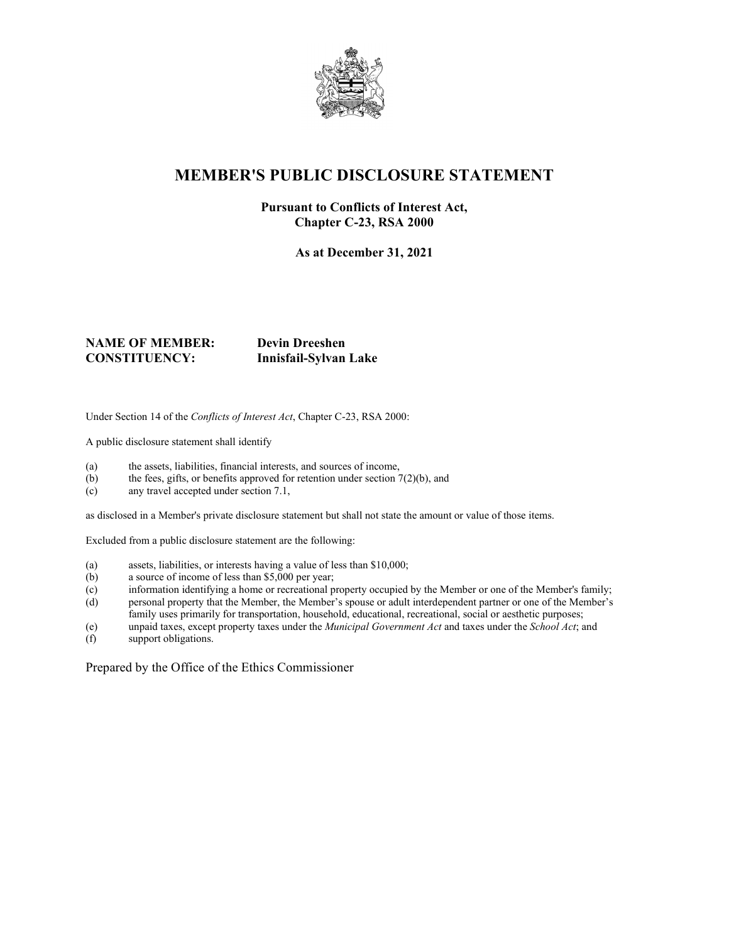

# **MEMBER'S PUBLIC DISCLOSURE STATEMENT**

#### **Pursuant to Conflicts of Interest Act, Chapter C-23, RSA 2000**

**As at December 31, 2021**

#### **NAME OF MEMBER: Devin Dreeshen CONSTITUENCY: Innisfail-Sylvan Lake**

Under Section 14 of the *Conflicts of Interest Act*, Chapter C-23, RSA 2000:

A public disclosure statement shall identify

- (a) the assets, liabilities, financial interests, and sources of income,
- (b) the fees, gifts, or benefits approved for retention under section  $7(2)(b)$ , and
- (c) any travel accepted under section 7.1,

as disclosed in a Member's private disclosure statement but shall not state the amount or value of those items.

Excluded from a public disclosure statement are the following:

- (a) assets, liabilities, or interests having a value of less than \$10,000;
- (b) a source of income of less than \$5,000 per year;
- (c) information identifying a home or recreational property occupied by the Member or one of the Member's family;
- (d) personal property that the Member, the Member's spouse or adult interdependent partner or one of the Member's family uses primarily for transportation, household, educational, recreational, social or aesthetic purposes;
- (e) unpaid taxes, except property taxes under the *Municipal Government Act* and taxes under the *School Act*; and
- support obligations.

Prepared by the Office of the Ethics Commissioner